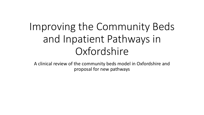# Improving the Community Beds and Inpatient Pathways in **Oxfordshire**

A clinical review of the community beds model in Oxfordshire and proposal for new pathways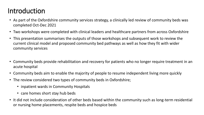### Introduction

- As part of the Oxfordshire community services strategy, a clinically led review of community beds was completed Oct-Dec 2021
- Two workshops were completed with clinical leaders and healthcare partners from across Oxfordshire
- This presentation summarises the outputs of those workshops and subsequent work to review the current clinical model and proposed community bed pathways as well as how they fit with wider community services
- Community beds provide rehabilitation and recovery for patients who no longer require treatment in an acute hospital
- Community beds aim to enable the majority of people to resume independent living more quickly
- The review considered two types of community beds in Oxfordshire;
	- inpatient wards in Community Hospitals
	- care homes short stay hub beds
- It did not include consideration of other beds based within the community such as long-term residential or nursing home placements, respite beds and hospice beds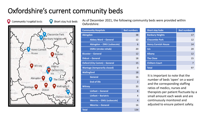# Oxfordshire's current community beds



As of December 2021, the following community beds were provided within Oxfordshire:

| <b>Community Hospitals</b>          | <b>Bed numbers</b> |  | <b>Short stay hubs</b>                                                                                                                                                                                                                                                             | <b>Bed numbers</b> |  |
|-------------------------------------|--------------------|--|------------------------------------------------------------------------------------------------------------------------------------------------------------------------------------------------------------------------------------------------------------------------------------|--------------------|--|
| <b>Abingdon</b>                     | 38                 |  | <b>Banbury Heights</b>                                                                                                                                                                                                                                                             | 17                 |  |
| <b>Abbey Ward - General</b>         | 12                 |  | <b>Chacombe Park</b>                                                                                                                                                                                                                                                               | 12                 |  |
| Abingdon - EMU (subacute)           | 6                  |  | <b>Henry Cornish House</b>                                                                                                                                                                                                                                                         | 14                 |  |
| <b>OSRU</b> (stroke rehab)          | 20                 |  | <b>Isis</b>                                                                                                                                                                                                                                                                        | 20                 |  |
| <b>Bicester - General</b>           | 12                 |  | <b>Albany</b>                                                                                                                                                                                                                                                                      | 12                 |  |
| <b>Didcot - General</b>             | 18                 |  | <b>The Close</b>                                                                                                                                                                                                                                                                   | 15                 |  |
| <b>Oxford (City Comm) - General</b> | 15                 |  | <b>Chiltern Court</b>                                                                                                                                                                                                                                                              | $\overline{7}$     |  |
| <b>Wantage (temporarily closed)</b> | $\Omega$           |  | <b>Total</b>                                                                                                                                                                                                                                                                       | 97                 |  |
| <b>Wallingford</b>                  | 18                 |  | It is important to note that the<br>number of beds 'open' on a ward<br>and the corresponding staffing<br>ratios of medics, nurses and<br>therapists per patient fluctuate by<br>small amount each week and are<br>continuously monitored and<br>adjusted to ensure patient safety. |                    |  |
| <b>General</b>                      | 16                 |  |                                                                                                                                                                                                                                                                                    |                    |  |
| <b>End of life</b>                  | $\overline{2}$     |  |                                                                                                                                                                                                                                                                                    |                    |  |
| <b>Witney</b>                       | 33                 |  |                                                                                                                                                                                                                                                                                    |                    |  |
| Linfoot - General                   | 8                  |  |                                                                                                                                                                                                                                                                                    |                    |  |
| Linfoot - Bariatric                 | 4                  |  |                                                                                                                                                                                                                                                                                    |                    |  |
| <b>Wenrisc - EMU (subacute)</b>     | $\overline{4}$     |  |                                                                                                                                                                                                                                                                                    |                    |  |
| <b>Wenrisc-General</b>              | 16                 |  |                                                                                                                                                                                                                                                                                    |                    |  |
| <b>Total</b>                        | 134                |  |                                                                                                                                                                                                                                                                                    |                    |  |

| <b>Inity Hospitals</b>      | <b>Bed numbers</b> | <b>Short stay hubs</b>     | <b>Bed numbers</b> |
|-----------------------------|--------------------|----------------------------|--------------------|
| <b>on</b>                   | 38                 | <b>Banbury Heights</b>     | 17                 |
| <b>Abbey Ward - General</b> | 12                 | <b>Chacombe Park</b>       | 12                 |
| Abingdon – EMU (subacute)   | 6                  | <b>Henry Cornish House</b> | 14                 |
| <b>OSRU (stroke rehab)</b>  | 20                 | <b>Isis</b>                | 20                 |
| r – General                 | 12                 | <b>Albany</b>              | 12                 |
| - General                   | 18                 | <b>The Close</b>           | 15                 |
| (City Comm) - General       | 15                 | <b>Chiltern Court</b>      | 7                  |
| e (temporarily closed)      | $\mathbf{0}$       | <b>Total</b>               | 97                 |

It is important to note that the number of beds 'open' on a ward and the corresponding staffing ratios of medics, nurses and therapists per patient fluctuate by a small amount each week and are continuously monitored and adjusted to ensure patient safety.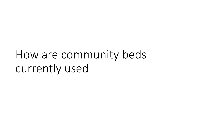How are community beds currently used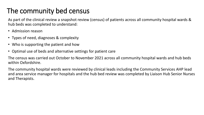# The community bed census

As part of the clinical review a snapshot review (census) of patients across all community hospital wards & hub beds was completed to understand:

- Admission reason
- Types of need, diagnoses & complexity
- Who is supporting the patient and how
- Optimal use of beds and alternative settings for patient care

The census was carried out October to November 2021 across all community hospital wards and hub beds within Oxfordshire.

The community hospital wards were reviewed by clinical leads including the Community Services AHP lead and area service manager for hospitals and the hub bed review was completed by Liaison Hub Senior Nurses and Therapists.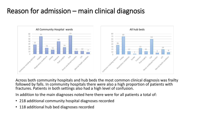### Reason for admission – main clinical diagnosis



Across both community hospitals and hub beds the most common clinical diagnosis was frailty followed by falls. In community hospitals there were also a high proportion of patients with fractures. Patients in both settings also had a high level of confusion.

In addition to the main diagnoses noted here there were for all patients a total of:

- 218 additional community hospital diagnoses recorded
- 118 additional hub bed diagnoses recorded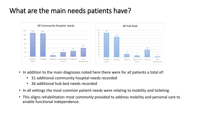### What are the main needs patients have?



- In addition to the main diagnoses noted here there were for all patients a total of:
	- 31 additional community hospital needs recorded
	- 36 additional hub bed needs recorded
- In all settings the most common patient needs were relating to mobility and toileting.
- This aligns rehabilitation most commonly provided to address mobility and personal care to enable functional independence.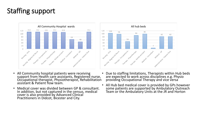# Staffing support



- All Community hospital patients were receiving support from Health care assistants, Registered nurse, Occupational therapist, Physiotherapist, Rehabilitation assistant & Patient flow team.
- Medical cover was divided between GP & consultant. In addition, but not captured in the census, medical cover is also provided by Advanced Clinical Practitioners in Didcot, Bicester and City.



- Due to staffing limitations, Therapists within Hub beds are expected to work across disciplines e.g. Physio providing Occupational Therapy and vice versa
- All Hub bed medical cover is provided by GPs however some patients are supported by Ambulatory Outreach Team or the Ambulatory Units at the JR and Horton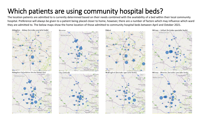# Which patients are using community hospital beds?

The location patients are admitted to is currently determined based on their needs combined with the availability of a bed within their local community hospital. Preference will always be given to a patient being placed closer to home, however, there are a number of factors which may influence which ward they are admitted to. The below maps show the home location of those admitted to community hospital beds between April and October 2021.





Bicester



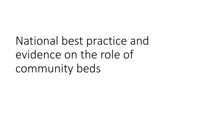National best practice and evidence on the role of community beds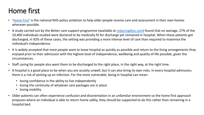# Home first

- '[Home First](https://www.england.nhs.uk/urgent-emergency-care/reducing-length-of-stay/reducing-long-term-stays/home-first/)' is the national NHS policy ambition to help older people receive care and assessment in their own homes wherever possible.
- A study carried out by the Better care support programme (available at [reducingdtoc.com\)](http://www.reducingdtoc.com/) found that on average, 27% of the 10,400 individuals studied were declared to be medically fit for discharge yet remained in hospital. When these patients got discharged, in 92% of these cases, the setting was providing a more intense level of care than required to maximise the individual's independence.
- It is widely accepted that most people want to leave hospital as quickly as possible and return to the living arrangements they enjoyed prior to their admission with the highest level of independence, wellbeing and quality of life possible, given the circumstances.
- Staff caring for people also want them to be discharged to the right place, in the right way, at the right time.
- A hospital is a good place to be when you are acutely unwell, but it can also bring its own risks. In every hospital admission, there is a risk of picking up an infection. For the more vulnerable, being in hospital can mean:
	- losing confidence in the ability to live independently
	- losing the continuity of whatever care packages are in place
	- losing mobility
- Older patients can often experience confusion and disorientation in an unfamiliar environment so the home first approach proposes where an individual is able to return home safely, they should be supported to do this rather than remaining in a hospital bed.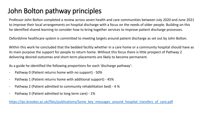## John Bolton pathway principles

Professor John Bolton completed a review across seven health and care communities between July 2020 and June 2021 to improve their local arrangements on hospital discharge with a focus on the needs of older people. Building on this he identified shared learning to consider how to bring together services to improve patient discharge processes.

Oxfordshire healthcare system is committed to meeting targets around patient discharge as set out by John Bolton.

Within this work he concluded that the bedded facility whether in a care home or a community hospital should have as its main purpose the support for people to return home. Without this focus there is little prospect of Pathway 2 delivering desired outcomes and short-term placements are likely to become permanent.

As a guide he identified the following proportions for each 'discharge pathway':

- Pathway 0 (Patient returns home with no support) 50%
- Pathway 1 (Patient returns home with additional support) 45%
- Pathway 2 (Patient admitted to community rehabilitation bed) 4 %
- Pathway 3 (Patient admitted to long term care) 1%

https://ipc.brookes.ac.uk/files/publications/Some\_key\_messages\_around\_hospital\_transfers\_of\_care.pdf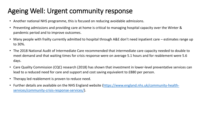# Ageing Well: Urgent community response

- Another national NHS programme, this is focused on reducing avoidable admissions.
- Preventing admissions and providing care at home is critical to managing hospital capacity over the Winter & pandemic period and to improve outcomes.
- Many people with frailty currently admitted to hospital through A&E don't need inpatient care estimates range up to 30%.
- The 2018 National Audit of Intermediate Care recommended that intermediate care capacity needed to double to meet demand and that waiting times for crisis response were on average 5.1 hours and for reablement were 5.6 days.
- Care Quality Commission (CQC) research (2018) has shown that investment in lower-level preventative services can lead to a reduced need for care and support and cost saving equivalent to £880 per person.
- Therapy led reablement is proven to reduce need.
- [Further details are available on the NHS England website \(https://www.england.nhs.uk/community-health](https://www.england.nhs.uk/community-health-services/community-crisis-response-services/)services/community-crisis-response-services/).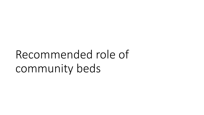Recommended role of community beds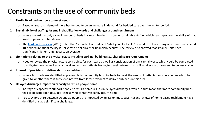## Constraints on the use of community beds

#### **1. Flexibility of bed numbers to meet needs**

- o Based on seasonal demand there has tended to be an increase in demand for bedded care over the winter period.
- **2. Sustainability of staffing for small rehabilitation wards and challenges around recruitment**
	- o Where a ward has only a small number of beds it is much harder to provide sustainable staffing which can impact on the ability of that ward to provide optimal care
	- o The [Lord Carter review](https://www.england.nhs.uk/wp-content/uploads/2019/09/20180524_NHS_operational_productivity_-_Unwarranted_variations_-_Mental_....pdf) (2018) noted that "a much clearer idea of 'what good looks like' is needed but one thing is certain an isolated 10-bedded inpatient facility is unlikely to be clinically or financially secure". The review also showed that smaller units have significantly higher running costs on average.

#### **3. Limitations relating to the physical estate including parking, building size, shared space requirements**

o Need to review the physical estate constraints for each ward as well as consideration of any capital works which could be completed to mitigate these as well as any travel impacts for patients having to travel between wards if smaller wards are seen to be less viable.

#### **4. Interest of providers to deliver short stay hub beds**

o Where hub beds are identified as preferable to community hospital beds to meet the needs of patients, consideration needs to be given to whether there is sufficient interest from local providers to deliver hub beds in this area.

#### **5. Delayed discharges impact on capacity to return people home**

- o Shortage of capacity to support people to return home results in delayed discharges, which in turn mean that more community beds need to be kept open to support those who cannot yet safely return home.
- o Across Oxfordshire between 20 and 30 people are impacted by delays on most days. Recent reviews of home based reablement have identified this as a significant challenge.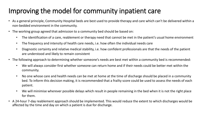# Improving the model for community inpatient care

- As a general principle, Community Hospital beds are best used to provide therapy and care which can't be delivered within a non-bedded environment in the community.
- The working group agreed that admission to a community bed should be based on:
	- The identification of a care, reablement or therapy need that cannot be met in the patient's usual home environment
	- The frequency and intensity of health care needs, i.e. how often the individual needs care
	- Diagnostic certainty and relative medical stability, i.e. how confident professionals are that the needs of the patient are understood and likely to remain consistent
- The following approach to determining whether someone's needs are best met within a community bed is recommended:
	- We will always consider first whether someone can return home and if their needs could be better met within the community.
	- No one whose care and health needs can be met at home at the time of discharge should be placed in a community bed. To inform this decision making, it is recommended that a frailty score could be used to assess the needs of each patient.
	- We will minimise wherever possible delays which result in people remaining in the bed when it is not the right place for them.
- A 24-hour 7-day reablement approach should be implemented. This would reduce the extent to which discharges would be affected by the time and day on which a patient is due for discharge.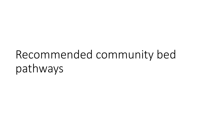# Recommended community bed pathways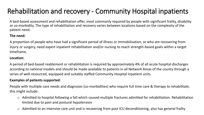# Rehabilitation and recovery - Community Hospital inpatients

A bed-based assessment and rehabilitation offer, most commonly required by people with significant frailty, disability or co-morbidity. The type of rehabilitation and recovery varies between locations based on the complexity of the patient need.

#### **The need:**

A proportion of people who have had a significant period of illness or immobilisation, or who are recovering from injury or surgery, need expert inpatient rehabilitation and/or nursing to reach strength-based goals within a target timeframe.

#### **Location:**

A period of bed-based reablement or rehabilitation is required by approximately 4% of all acute hospital discharges according to national models and should be made available to patients in all Network Areas of the county through a series of well-resourced, equipped and suitably staffed Community Hospital inpatient units.

#### **Examples of patients supported**:

People with multiple care needs and diagnoses (co-morbidities) who require full time care & therapy to rehabilitate, this might include:

- $\circ$  Admitted to hospital following a fall which caused multiple fractures admitted for rehabilitation. Rehabilitation limited due to pain and postural hypotension
- $\circ$  Admitted to an intensive care unit and is recovering from post ICU deconditioning, also has general frailty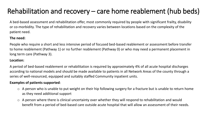# Rehabilitation and recovery – care home reablement (hub beds)

A bed-based assessment and rehabilitation offer, most commonly required by people with significant frailty, disability or co-morbidity. The type of rehabilitation and recovery varies between locations based on the complexity of the patient need.

#### **The need:**

People who require a short and less intensive period of focused bed-based reablement or assessment before transfer to home reablement (Pathway 1) or no further reablement (Pathway 0) or who may need a permanent placement in long term care (Pathway 3).

#### **Location:**

A period of bed-based reablement or rehabilitation is required by approximately 4% of all acute hospital discharges according to national models and should be made available to patients in all Network Areas of the county through a series of well-resourced, equipped and suitably staffed Community inpatient units.

- $\circ$  A person who is unable to put weight on their hip following surgery for a fracture but is unable to return home as they need additional support
- o A person where there is clinical uncertainty over whether they will respond to rehabilitation and would benefit from a period of bed-based care outside acute hospital that will allow an assessment of their needs.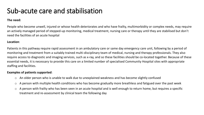### Sub-acute care and stabilisation

#### **The need:**

People who become unwell, injured or whose health deteriorates and who have frailty, multimorbidity or complex needs, may require an actively managed period of stepped-up monitoring, medical treatment, nursing care or therapy until they are stabilised but don't need the facilities of an acute hospital

#### **Location**:

Patients in this pathway require rapid assessment in an ambulatory care or same day emergency care unit, following by a period of monitoring and treatment from a suitably trained multi-disciplinary team of medical, nursing and therapy professionals. They also require access to diagnostic and imaging services, such as x-ray, and so these facilities should be co-located together. Because of these essential needs, it is necessary to provide this care on a limited number of specialised Community Hospital sites with appropriate staffing and facilities.

- o An older person who is unable to walk due to unexplained weakness and has become slightly confused
- o A person with multiple health conditions who has become gradually more breathless and fatigued over the past week
- o A person with frailty who has been seen in an acute hospital and is well enough to return home, but requires a specific treatment and re-assessment by clinical team the following day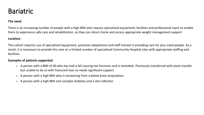### Bariatric

#### **The need:**

There is an increasing number of people with a high BMI who require specialised equipment, facilities and professional input to enable them to experience safe care and rehabilitation, so they can return home and access appropriate weight management support

#### **Location:**

This cohort requires use of specialised equipment, premises adaptations and staff trained in providing care for plus-sized people. As a result, it is necessary to provide this care on a limited number of specialised Community Hospital sites with appropriate staffing and facilities.

- o A person with a BMI of 40 who has had a fall causing toe fractures and is immobile. Previously transferred with pivot transfer but unable to do so with fractured toes so needs significant support.
- o A person with a high BMI who is recovering from a below knee amputation.
- o A person with a high BMI and complex diabetes and a skin infection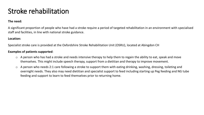### Stroke rehabilitation

#### **The need:**

A significant proportion of people who have had a stroke require a period of targeted rehabilitation in an environment with specialised staff and facilities, in line with national stroke guidance.

#### **Location:**

Specialist stroke care is provided at the Oxfordshire Stroke Rehabilitation Unit (OSRU), located at Abingdon CH

- $\circ$  A person who has had a stroke and needs intensive therapy to help them to regain the ability to eat, speak and move themselves. This might include speech therapy, support from a dietitian and therapy to improve movement.
- o A person who needs 2:1 care following a stroke to support them with eating drinking, washing, dressing, toileting and overnight needs. They also may need dietitian and specialist support to feed including starting up Peg feeding and NG tube feeding and support to learn to feed themselves prior to returning home.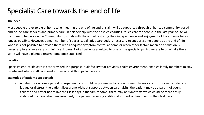### Specialist Care towards the end of life

#### **The need:**

Most people prefer to die at home when nearing the end of life and this aim will be supported through enhanced community-based end-of-life-care services and primary care, in partnership with the hospice charities. Much care for people in the last year of life will continue to be provided in Community Hospitals with the aim of restoring their independence and enjoyment of life at home for as long as possible. However, a small number of specialist palliative care beds is necessary to support some people at the end of life when it is not possible to provide them with adequate symptom control at home or when other factors mean an admission is necessary to ensure safety or minimise distress. Not all patients admitted to one of the specialist palliative care beds will die there; some will have a planned return home once stabilised.

#### **Location:**

Specialist end-of-life care is best provided in a purpose-built facility that provides a calm environment, enables family members to stay on site and where staff can develop specialist skills in palliative care.

#### **Examples of patients supported**:

 $\circ$  A patient for whom a period of in-patient care would be preferable to care at home. The reasons for this can include carer fatigue or distress; the patient lives alone without support between carer visits; the patient may be a parent of young children and prefer not to live their last days in the family home; there may be symptoms which could be more easily stabilised in an in-patient environment; or a patient requiring additional support or treatment in their last days.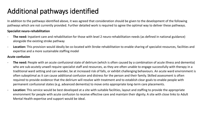# Additional pathways identified

In addition to the pathways identified above, it was agreed that consideration should be given to the development of the following pathways which are not currently provided. Further detailed work is required to agree the optimal way to deliver these pathways.

#### **Specialist neuro-rehabilitation**

- **The need:** Inpatient care and rehabilitation for those with level 2 neuro-rehabilitation needs (as defined in national guidance) alongside the existing stroke pathway
- **Location:** This provision would ideally be co-located with Stroke rehabilitation to enable sharing of specialist resources, facilities and expertise and a more sustainable staffing model

#### **Acute confusion**

- **The need:** People with an acute confusional state of delirium (which is often caused by a combination of acute illness and dementia) who are sub-acutely unwell require specialist staff and resources, as they are often unable to engage successfully with therapy in a traditional ward setting and can wander, be at increased risk of falls, or exhibit challenging behaviours. An acute ward environment is often suboptimal as it can cause additional confusion and distress for the person and their family. Skilled assessment is often required to provide evidence that the delirium will resolve with treatment and to establish clear goals to enable people with permanent confusional states (e.g. advanced dementia) to move onto appropriate long-term care placements.
- **Location:** This service would be best developed at a site with suitable facilities, layout and staffing to provide the appropriate environment for people with acute confusion to receive effective care and maintain their dignity. A site with close links to Adult Mental Health expertise and support would be ideal.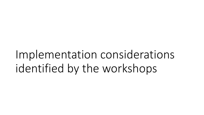Implementation considerations identified by the workshops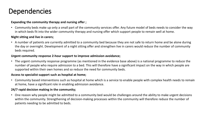### **Dependencies**

#### **Expanding the community therapy and nursing offer ;**

• Community beds make up only a small part of the community services offer. Any future model of beds needs to consider the way in which beds fit into the wider community therapy and nursing offer which support people to remain well at home.

#### **Night sitting and live in carers;**

• A number of patients are currently admitted to a community bed because they are not safe to return home and be alone during the day or overnight. Development of a night sitting offer and strengthen live in carers would reduce the number of community beds required.

#### **Urgent community response 2-hour support to improve admission avoidance;**

• The urgent community response programme (as mentioned in the evidence base above) is a national programme to reduce the number of people who require admission to a bed. This will therefore have a significant impact on the way in which people are supported within their own homes and so reduce the need for community beds.

#### **Access to specialist support such as hospital at home;**

• Community based interventions such as hospital at home which is a service to enable people with complex health needs to remain at home, have a significant role in enabling admission avoidance.

#### **24/7 rapid decision making in the community;**

• One reason why people might be admitted to a community bed would be challenges around the ability to make urgent decisions within the community. Strengthening of decision-making processes within the community will therefore reduce the number of patients needing to be admitted to beds.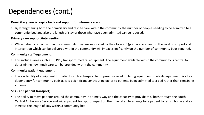### Dependencies (cont.)

#### **Domiciliary care & respite beds and support for informal carers;**

• By strengthening both the domiciliary and respite care within the community the number of people needing to be admitted to a community bed and also the length of stay of those who have been admitted can be reduced.

#### **Primary care support/intervention;**

• While patients remain within the community they are supported by their local GP (primary care) and so the level of support and intervention which can be delivered within the community will impact significantly on the number of community beds required.

#### **Community staff equipment;**

• This includes areas such as IT, PPE, transport, medical equipment. The equipment available within the community is central to determining how much care can be provided within the community.

#### **Community patient equipment;**

• The availability of equipment for patients such as hospital beds, pressure relief, toileting equipment, mobility equipment, is a key dependency for community beds as it is a significant contributing factor to patients being admitted to a bed rather than remaining at home.

#### **SCAS and patient transport;**

• The ability to move patients around the community in a timely way and the capacity to provide this, both through the South Central Ambulance Service and wider patient transport, impact on the time taken to arrange for a patient to return home and so increase the length of stay within a community bed.